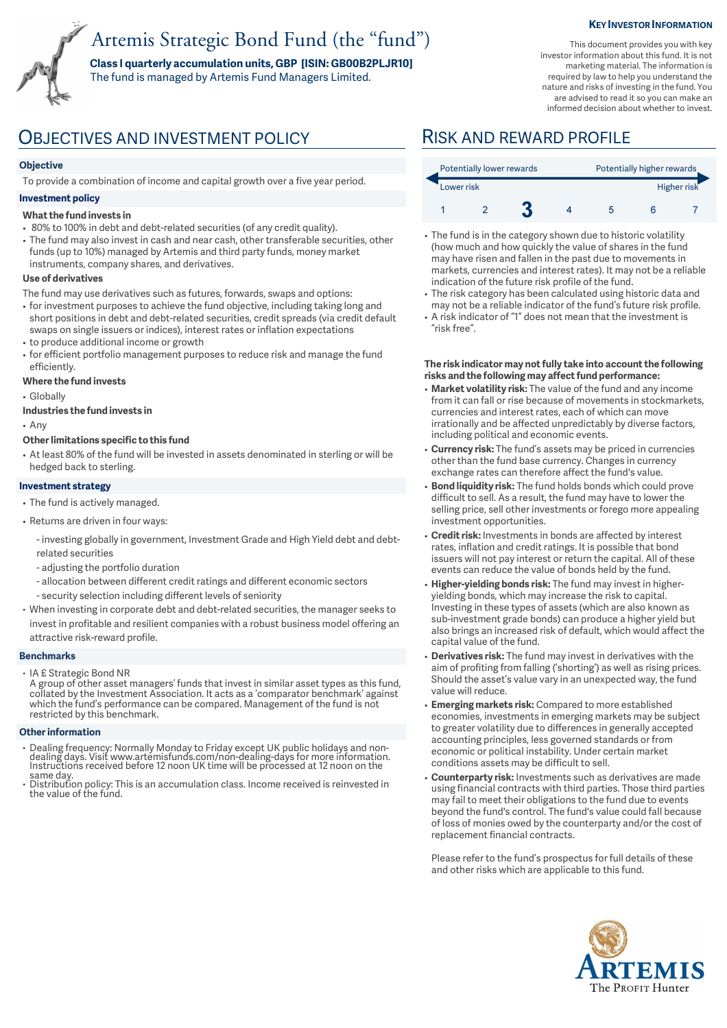# Artemis Strategic Bond Fund (the "fund")

**Class I quarterly accumulation units, GBP [ISIN: GB00B2PLJR10]**  The fund is managed by Artemis Fund Managers Limited.

#### **KEY INVESTOR INFORMATION**

This document provides you with key investor information about this fund. It is not marketing material. The information is required by law to help you understand the nature and risks of investing in the fund. You are advised to read it so you can make an informed decision about whether to invest.

## OBJECTIVES AND INVESTMENT POLICY RISK AND REWARD PROFILE

### **Objective**

To provide a combination of income and capital growth over a five year period.

#### **Investment policy**

#### **What the fund invests in**

- 80% to 100% in debt and debt-related securities (of any credit quality).
- The fund may also invest in cash and near cash, other transferable securities, other funds (up to 10%) managed by Artemis and third party funds, money market instruments, company shares, and derivatives.

#### **Use of derivatives**

- The fund may use derivatives such as futures, forwards, swaps and options:
- for investment purposes to achieve the fund objective, including taking long and short positions in debt and debt-related securities, credit spreads (via credit default swaps on single issuers or indices), interest rates or inflation expectations
- to produce additional income or growth • for efficient portfolio management purposes to reduce risk and manage the fund efficiently.

### **Where the fund invests**

• Globally

#### **Industries the fund invests in**

• Any

#### **Other limitations specific to this fund**

• At least 80% of the fund will be invested in assets denominated in sterling or will be hedged back to sterling.

#### **Investment strategy**

- The fund is actively managed.
- Returns are driven in four ways:
	- investing globally in government, Investment Grade and High Yield debt and debtrelated securities
	- adjusting the portfolio duration
	- allocation between different credit ratings and different economic sectors
	- security selection including different levels of seniority
- When investing in corporate debt and debt-related securities, the manager seeks to invest in profitable and resilient companies with a robust business model offering an attractive risk-reward profile.

#### **Benchmarks**

• IA £ Strategic Bond NR

A group of other asset managers' funds that invest in similar asset types as this fund, collated by the Investment Association. It acts as a 'comparator benchmark' against which the fund's performance can be compared. Management of the fund is not restricted by this benchmark.

#### **Other information**

- Dealing frequency: Normally Monday to Friday except UK public holidays and non-dealing days. Visit www.artemisfunds.com/non-dealing-days for more information. Instructions received before 12 noon UK time will be processed at 12 noon on the same day.
- Distribution policy: This is an accumulation class. Income received is reinvested in the value of the fund.

| Potentially lower rewards |  |  |  | Potentially higher rewards |  |  |  |
|---------------------------|--|--|--|----------------------------|--|--|--|
| Lower risk                |  |  |  | Higher risk                |  |  |  |
|                           |  |  |  |                            |  |  |  |

- The fund is in the category shown due to historic volatility (how much and how quickly the value of shares in the fund may have risen and fallen in the past due to movements in markets, currencies and interest rates). It may not be a reliable indication of the future risk profile of the fund.
- The risk category has been calculated using historic data and may not be a reliable indicator of the fund's future risk profile. • A risk indicator of "1" does not mean that the investment is
- "risk free".

#### **The risk indicator may not fully take into account the following risks and the following may affect fund performance:**

- **Market volatility risk:** The value of the fund and any income from it can fall or rise because of movements in stockmarkets, currencies and interest rates, each of which can move irrationally and be affected unpredictably by diverse factors, including political and economic events.
- **Currency risk:** The fund's assets may be priced in currencies other than the fund base currency. Changes in currency exchange rates can therefore affect the fund's value.
- **Bond liquidity risk:** The fund holds bonds which could prove difficult to sell. As a result, the fund may have to lower the selling price, sell other investments or forego more appealing investment opportunities.
- **Credit risk:** Investments in bonds are affected by interest rates, inflation and credit ratings. It is possible that bond issuers will not pay interest or return the capital. All of these events can reduce the value of bonds held by the fund.
- **Higher-yielding bonds risk:** The fund may invest in higheryielding bonds, which may increase the risk to capital. Investing in these types of assets (which are also known as sub-investment grade bonds) can produce a higher yield but also brings an increased risk of default, which would affect the capital value of the fund.
- **Derivatives risk:** The fund may invest in derivatives with the aim of profiting from falling ('shorting') as well as rising prices. Should the asset's value vary in an unexpected way, the fund value will reduce.
- **Emerging markets risk:** Compared to more established economies, investments in emerging markets may be subject to greater volatility due to differences in generally accepted accounting principles, less governed standards or from economic or political instability. Under certain market conditions assets may be difficult to sell.
- **Counterparty risk:** Investments such as derivatives are made using financial contracts with third parties. Those third parties may fail to meet their obligations to the fund due to events beyond the fund's control. The fund's value could fall because of loss of monies owed by the counterparty and/or the cost of replacement financial contracts.

Please refer to the fund's prospectus for full details of these and other risks which are applicable to this fund.